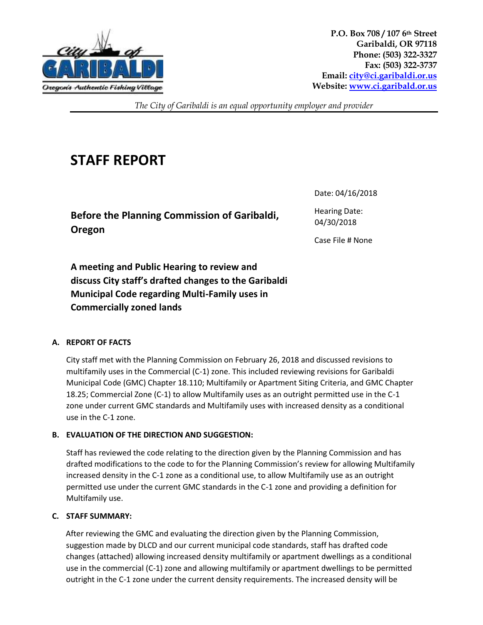

**P.O. Box 708 / 107 6th Street Garibaldi, OR 97118 Phone: (503) 322-3327 Fax: (503) 322-3737 Email[: city@ci.garibaldi.or.us](mailto:city@ci.garibaldi.or.us) Website[: www.ci.garibald.or.us](http://www.ci.garibald.or.us/)**

*The City of Garibaldi is an equal opportunity employer and provider*

# **STAFF REPORT**

**Before the Planning Commission of Garibaldi, Oregon** 

Date: 04/16/2018

Hearing Date: 04/30/2018

Case File # None

**A meeting and Public Hearing to review and discuss City staff's drafted changes to the Garibaldi Municipal Code regarding Multi-Family uses in Commercially zoned lands**

## **A. REPORT OF FACTS**

City staff met with the Planning Commission on February 26, 2018 and discussed revisions to multifamily uses in the Commercial (C-1) zone. This included reviewing revisions for Garibaldi Municipal Code (GMC) Chapter 18.110; Multifamily or Apartment Siting Criteria, and GMC Chapter 18.25; Commercial Zone (C-1) to allow Multifamily uses as an outright permitted use in the C-1 zone under current GMC standards and Multifamily uses with increased density as a conditional use in the C-1 zone.

## **B. EVALUATION OF THE DIRECTION AND SUGGESTION:**

Staff has reviewed the code relating to the direction given by the Planning Commission and has drafted modifications to the code to for the Planning Commission's review for allowing Multifamily increased density in the C-1 zone as a conditional use, to allow Multifamily use as an outright permitted use under the current GMC standards in the C-1 zone and providing a definition for Multifamily use.

## **C. STAFF SUMMARY:**

After reviewing the GMC and evaluating the direction given by the Planning Commission, suggestion made by DLCD and our current municipal code standards, staff has drafted code changes (attached) allowing increased density multifamily or apartment dwellings as a conditional use in the commercial (C-1) zone and allowing multifamily or apartment dwellings to be permitted outright in the C-1 zone under the current density requirements. The increased density will be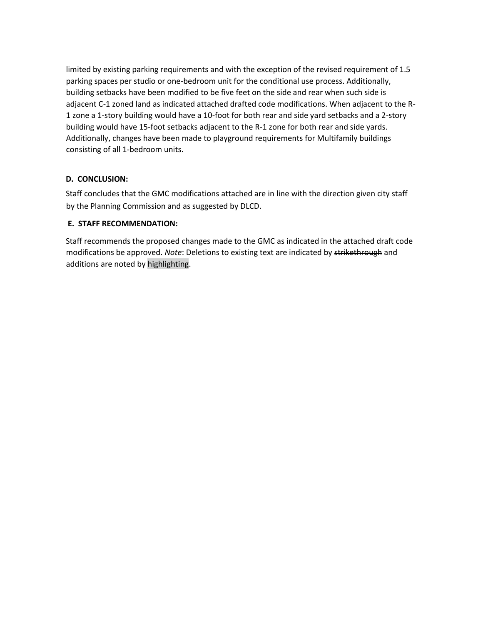limited by existing parking requirements and with the exception of the revised requirement of 1.5 parking spaces per studio or one-bedroom unit for the conditional use process. Additionally, building setbacks have been modified to be five feet on the side and rear when such side is adjacent C-1 zoned land as indicated attached drafted code modifications. When adjacent to the R-1 zone a 1-story building would have a 10-foot for both rear and side yard setbacks and a 2-story building would have 15-foot setbacks adjacent to the R-1 zone for both rear and side yards. Additionally, changes have been made to playground requirements for Multifamily buildings consisting of all 1-bedroom units.

## **D. CONCLUSION:**

Staff concludes that the GMC modifications attached are in line with the direction given city staff by the Planning Commission and as suggested by DLCD.

## **E. STAFF RECOMMENDATION:**

Staff recommends the proposed changes made to the GMC as indicated in the attached draft code modifications be approved. *Note*: Deletions to existing text are indicated by strikethrough and additions are noted by highlighting.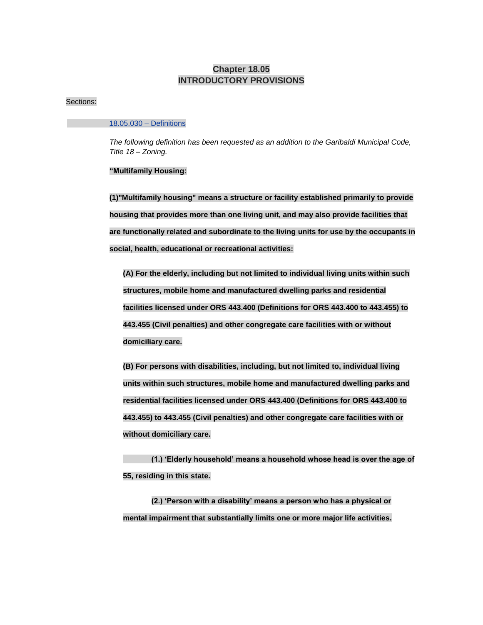## **Chapter 18.05 INTRODUCTORY PROVISIONS**

#### Sections:

#### 18.05.030 – Definitions

*The following definition has been requested as an addition to the Garibaldi Municipal Code, Title 18 – Zoning.*

#### **"Multifamily Housing:**

**(1)"Multifamily housing" means a structure or facility established primarily to provide housing that provides more than one living unit, and may also provide facilities that are functionally related and subordinate to the living units for use by the occupants in social, health, educational or recreational activities:**

**(A) For the elderly, including but not limited to individual living units within such structures, mobile home and manufactured dwelling parks and residential facilities licensed under ORS [443.400 \(Definitions for ORS 443.400 to 443.455\)](https://www.oregonlaws.org/ors/443.400) to [443.455 \(Civil penalties\)](https://www.oregonlaws.org/ors/443.455) and other congregate care facilities with or without domiciliary care.**

**(B) For persons with disabilities, including, but not limited to, individual living units within such structures, mobile home and manufactured dwelling parks and residential facilities licensed under ORS [443.400 \(Definitions for ORS 443.400 to](https://www.oregonlaws.org/ors/443.400)  [443.455\)](https://www.oregonlaws.org/ors/443.400) to [443.455 \(Civil penalties\)](https://www.oregonlaws.org/ors/443.455) and other congregate care facilities with or without domiciliary care.**

**(1.) 'Elderly household' means a household whose head is over the age of 55, residing in this state.**

**(2.) 'Person with a disability' means a person who has a physical or mental impairment that substantially limits one or more major life activities.**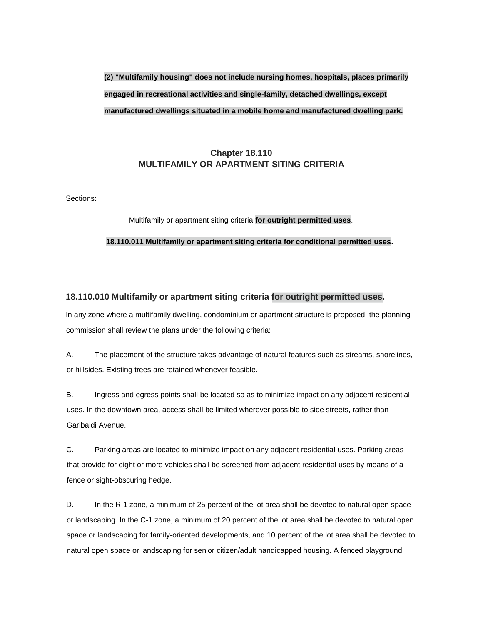## **(2) "Multifamily housing" does not include nursing homes, hospitals, places primarily engaged in recreational activities and single-family, detached dwellings, except manufactured dwellings situated in a mobile home and manufactured dwelling park.**

## **Chapter 18.110 MULTIFAMILY OR APARTMENT SITING CRITERIA**

Sections:

#### Multifamily or apartment siting criteria **for outright permitted uses**.

#### **18.110.011 Multifamily or apartment siting criteria for conditional permitted uses.**

#### **18.110.010 Multifamily or apartment siting criteria for outright permitted uses.**

In any zone where a multifamily dwelling, condominium or apartment structure is proposed, the planning commission shall review the plans under the following criteria:

A. The placement of the structure takes advantage of natural features such as streams, shorelines, or hillsides. Existing trees are retained whenever feasible.

B. Ingress and egress points shall be located so as to minimize impact on any adjacent residential uses. In the downtown area, access shall be limited wherever possible to side streets, rather than Garibaldi Avenue.

C. Parking areas are located to minimize impact on any adjacent residential uses. Parking areas that provide for eight or more vehicles shall be screened from adjacent residential uses by means of a fence or sight-obscuring hedge.

D. In the R-1 zone, a minimum of 25 percent of the lot area shall be devoted to natural open space or landscaping. In the C-1 zone, a minimum of 20 percent of the lot area shall be devoted to natural open space or landscaping for family-oriented developments, and 10 percent of the lot area shall be devoted to natural open space or landscaping for senior citizen/adult handicapped housing. A fenced playground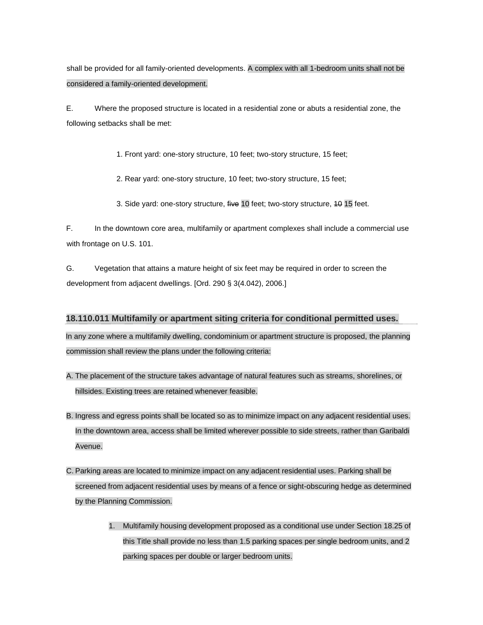shall be provided for all family-oriented developments. A complex with all 1-bedroom units shall not be considered a family-oriented development.

E. Where the proposed structure is located in a residential zone or abuts a residential zone, the following setbacks shall be met:

1. Front yard: one-story structure, 10 feet; two-story structure, 15 feet;

2. Rear yard: one-story structure, 10 feet; two-story structure, 15 feet;

3. Side yard: one-story structure, five 10 feet; two-story structure, 40 15 feet.

F. In the downtown core area, multifamily or apartment complexes shall include a commercial use with frontage on U.S. 101.

G. Vegetation that attains a mature height of six feet may be required in order to screen the development from adjacent dwellings. [Ord. 290 § 3(4.042), 2006.]

## **18.110.011 Multifamily or apartment siting criteria for conditional permitted uses.**

In any zone where a multifamily dwelling, condominium or apartment structure is proposed, the planning commission shall review the plans under the following criteria:

- A. The placement of the structure takes advantage of natural features such as streams, shorelines, or hillsides. Existing trees are retained whenever feasible.
- B. Ingress and egress points shall be located so as to minimize impact on any adjacent residential uses. In the downtown area, access shall be limited wherever possible to side streets, rather than Garibaldi Avenue.
- C. Parking areas are located to minimize impact on any adjacent residential uses. Parking shall be screened from adjacent residential uses by means of a fence or sight-obscuring hedge as determined by the Planning Commission.
	- 1. Multifamily housing development proposed as a conditional use under Section 18.25 of this Title shall provide no less than 1.5 parking spaces per single bedroom units, and 2 parking spaces per double or larger bedroom units.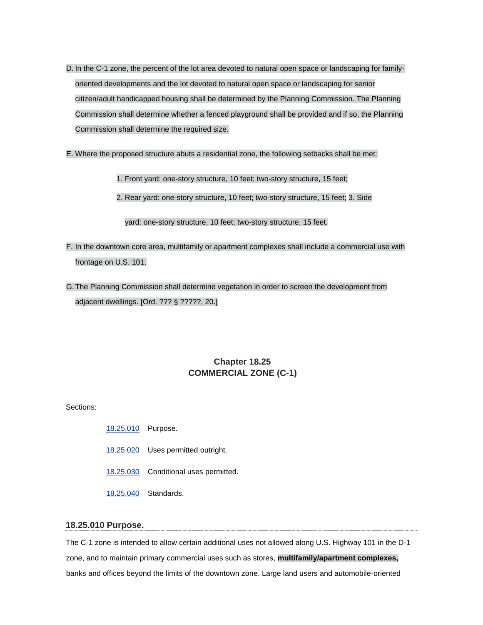- D. In the C-1 zone, the percent of the lot area devoted to natural open space or landscaping for familyoriented developments and the lot devoted to natural open space or landscaping for senior citizen/adult handicapped housing shall be determined by the Planning Commission. The Planning Commission shall determine whether a fenced playground shall be provided and if so, the Planning Commission shall determine the required size.
- E. Where the proposed structure abuts a residential zone, the following setbacks shall be met:

1. Front yard: one-story structure, 10 feet; two-story structure, 15 feet;

2. Rear yard: one-story structure, 10 feet; two-story structure, 15 feet; 3. Side

yard: one-story structure, 10 feet; two-story structure, 15 feet.

- F. In the downtown core area, multifamily or apartment complexes shall include a commercial use with frontage on U.S. 101.
- G.The Planning Commission shall determine vegetation in order to screen the development from adjacent dwellings. [Ord. ??? § ?????, 20.]

## **Chapter 18.25 COMMERCIAL ZONE (C-1)**

Sections:

- [18.25.010](http://www.codepublishing.com/OR/Garibaldi/html/Garibaldi18/Garibaldi1825.html#18.25.010) Purpose.
- [18.25.020](http://www.codepublishing.com/OR/Garibaldi/html/Garibaldi18/Garibaldi1825.html#18.25.020) Uses permitted outright.
- [18.25.030](http://www.codepublishing.com/OR/Garibaldi/html/Garibaldi18/Garibaldi1825.html#18.25.030) Conditional uses permitted.
- [18.25.040](http://www.codepublishing.com/OR/Garibaldi/html/Garibaldi18/Garibaldi1825.html#18.25.040) Standards.

#### **18.25.010 Purpose.**

The C-1 zone is intended to allow certain additional uses not allowed along U.S. Highway 101 in the D-1 zone, and to maintain primary commercial uses such as stores, **multifamily/apartment complexes,** banks and offices beyond the limits of the downtown zone. Large land users and automobile-oriented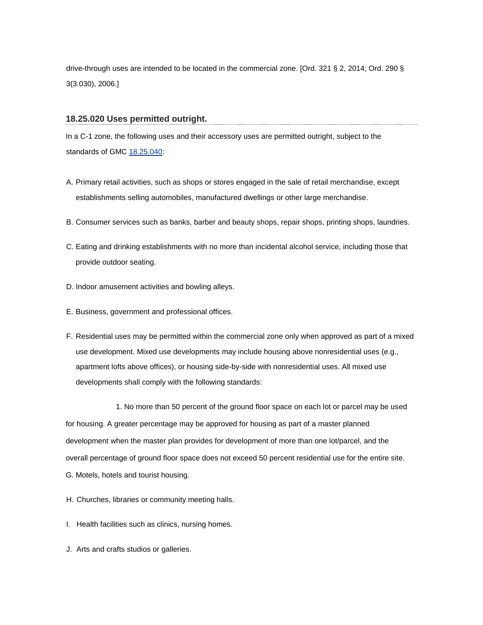drive-through uses are intended to be located in the commercial zone. [Ord. 321 § 2, 2014; Ord. 290 § 3(3.030), 2006.]

#### **18.25.020 Uses permitted outright.**

In a C-1 zone, the following uses and their accessory uses are permitted outright, subject to the standards of GMC [18.25.040:](http://www.codepublishing.com/OR/Garibaldi/html/Garibaldi18/Garibaldi1825.html#18.25.040)

- A. Primary retail activities, such as shops or stores engaged in the sale of retail merchandise, except establishments selling automobiles, manufactured dwellings or other large merchandise.
- B. Consumer services such as banks, barber and beauty shops, repair shops, printing shops, laundries.
- C. Eating and drinking establishments with no more than incidental alcohol service, including those that provide outdoor seating.
- D. Indoor amusement activities and bowling alleys.
- E. Business, government and professional offices.
- F. Residential uses may be permitted within the commercial zone only when approved as part of a mixed use development. Mixed use developments may include housing above nonresidential uses (e.g., apartment lofts above offices), or housing side-by-side with nonresidential uses. All mixed use developments shall comply with the following standards:

1. No more than 50 percent of the ground floor space on each lot or parcel may be used for housing. A greater percentage may be approved for housing as part of a master planned development when the master plan provides for development of more than one lot/parcel, and the overall percentage of ground floor space does not exceed 50 percent residential use for the entire site. G. Motels, hotels and tourist housing.

- H. Churches, libraries or community meeting halls.
- I. Health facilities such as clinics, nursing homes.
- J. Arts and crafts studios or galleries.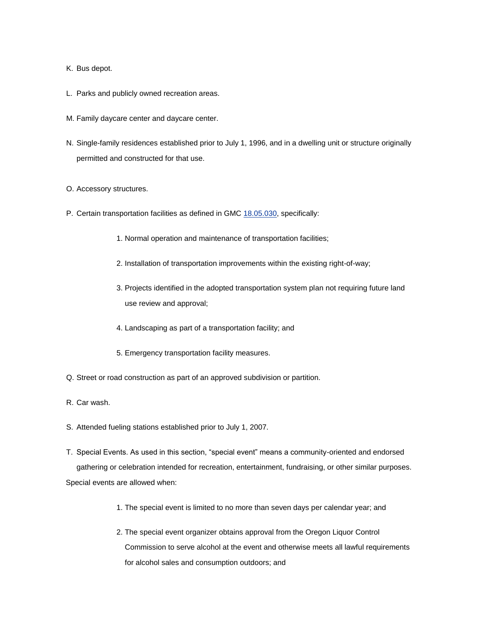- K. Bus depot.
- L. Parks and publicly owned recreation areas.
- M. Family daycare center and daycare center.
- N. Single-family residences established prior to July 1, 1996, and in a dwelling unit or structure originally permitted and constructed for that use.
- O. Accessory structures.
- P. Certain transportation facilities as defined in GMC [18.05.030,](http://www.codepublishing.com/OR/Garibaldi/html/Garibaldi18/Garibaldi1805.html#18.05.030) specifically:
	- 1. Normal operation and maintenance of transportation facilities;
	- 2. Installation of transportation improvements within the existing right-of-way;
	- 3. Projects identified in the adopted transportation system plan not requiring future land use review and approval;
	- 4. Landscaping as part of a transportation facility; and
	- 5. Emergency transportation facility measures.
- Q. Street or road construction as part of an approved subdivision or partition.
- R. Car wash.
- S. Attended fueling stations established prior to July 1, 2007.
- T. Special Events. As used in this section, "special event" means a community-oriented and endorsed gathering or celebration intended for recreation, entertainment, fundraising, or other similar purposes. Special events are allowed when:
	- 1. The special event is limited to no more than seven days per calendar year; and
	- 2. The special event organizer obtains approval from the Oregon Liquor Control Commission to serve alcohol at the event and otherwise meets all lawful requirements for alcohol sales and consumption outdoors; and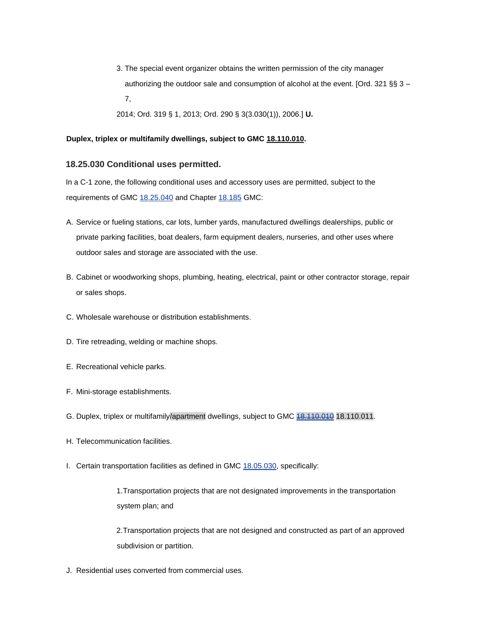- 3. The special event organizer obtains the written permission of the city manager authorizing the outdoor sale and consumption of alcohol at the event. [Ord. 321 §§ 3 – 7,
- 2014; Ord. 319 § 1, 2013; Ord. 290 § 3(3.030(1)), 2006.] **U.**

#### **Duplex, triplex or multifamily dwellings, subject to GM[C](http://www.codepublishing.com/OR/Garibaldi/html/Garibaldi18/Garibaldi18110.html#18.110.010) [18.110.010.](http://www.codepublishing.com/OR/Garibaldi/html/Garibaldi18/Garibaldi18110.html#18.110.010)**

#### **18.25.030 Conditional uses permitted.**

In a C-1 zone, the following conditional uses and accessory uses are permitted, subject to the requirements of GMC [18.25.040](http://www.codepublishing.com/OR/Garibaldi/html/Garibaldi18/Garibaldi1825.html#18.25.040) [a](http://www.codepublishing.com/OR/Garibaldi/html/Garibaldi18/Garibaldi1825.html#18.25.040)nd Chapter [18.185](http://www.codepublishing.com/OR/Garibaldi/html/Garibaldi18/Garibaldi18185.html#18.185) GMC:

- A. Service or fueling stations, car lots, lumber yards, manufactured dwellings dealerships, public or private parking facilities, boat dealers, farm equipment dealers, nurseries, and other uses where outdoor sales and storage are associated with the use.
- B. Cabinet or woodworking shops, plumbing, heating, electrical, paint or other contractor storage, repair or sales shops.
- C. Wholesale warehouse or distribution establishments.
- D. Tire retreading, welding or machine shops.
- E. Recreational vehicle parks.
- F. Mini-storage establishments.
- G. Duplex, triplex or multifamily/apartment dwellings, subject to GMC  $18.110.010$  18.110.011.
- H. Telecommunication facilities.
- I. Certain transportation facilities as defined in GMC [18.05.030,](http://www.codepublishing.com/OR/Garibaldi/html/Garibaldi18/Garibaldi1805.html#18.05.030) specifically:

1.Transportation projects that are not designated improvements in the transportation system plan; and

2.Transportation projects that are not designed and constructed as part of an approved subdivision or partition.

J. Residential uses converted from commercial uses.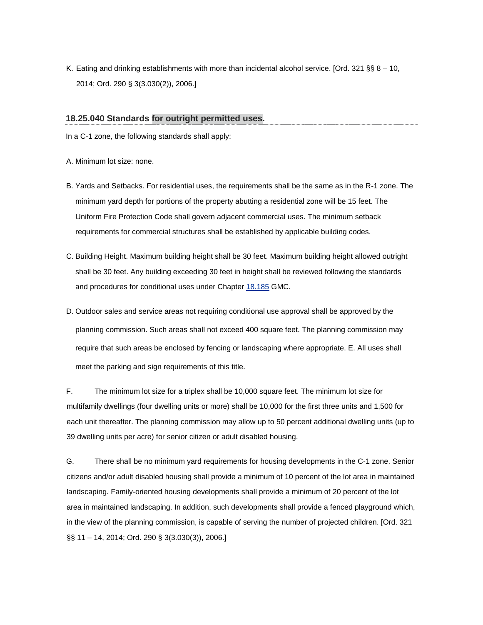K. Eating and drinking establishments with more than incidental alcohol service. [Ord. 321 §§ 8 – 10, 2014; Ord. 290 § 3(3.030(2)), 2006.]

#### **18.25.040 Standards for outright permitted uses.**

In a C-1 zone, the following standards shall apply:

A. Minimum lot size: none.

- B. Yards and Setbacks. For residential uses, the requirements shall be the same as in the R-1 zone. The minimum yard depth for portions of the property abutting a residential zone will be 15 feet. The Uniform Fire Protection Code shall govern adjacent commercial uses. The minimum setback requirements for commercial structures shall be established by applicable building codes.
- C. Building Height. Maximum building height shall be 30 feet. Maximum building height allowed outright shall be 30 feet. Any building exceeding 30 feet in height shall be reviewed following the standards and procedures for conditional uses under Chapter [18.185](http://www.codepublishing.com/OR/Garibaldi/html/Garibaldi18/Garibaldi18185.html#18.185) GMC.
- D. Outdoor sales and service areas not requiring conditional use approval shall be approved by the planning commission. Such areas shall not exceed 400 square feet. The planning commission may require that such areas be enclosed by fencing or landscaping where appropriate. E. All uses shall meet the parking and sign requirements of this title.

F. The minimum lot size for a triplex shall be 10,000 square feet. The minimum lot size for multifamily dwellings (four dwelling units or more) shall be 10,000 for the first three units and 1,500 for each unit thereafter. The planning commission may allow up to 50 percent additional dwelling units (up to 39 dwelling units per acre) for senior citizen or adult disabled housing.

G. There shall be no minimum yard requirements for housing developments in the C-1 zone. Senior citizens and/or adult disabled housing shall provide a minimum of 10 percent of the lot area in maintained landscaping. Family-oriented housing developments shall provide a minimum of 20 percent of the lot area in maintained landscaping. In addition, such developments shall provide a fenced playground which, in the view of the planning commission, is capable of serving the number of projected children. [Ord. 321 §§ 11 - 14, 2014; Ord. 290 § 3(3.030(3)), 2006.]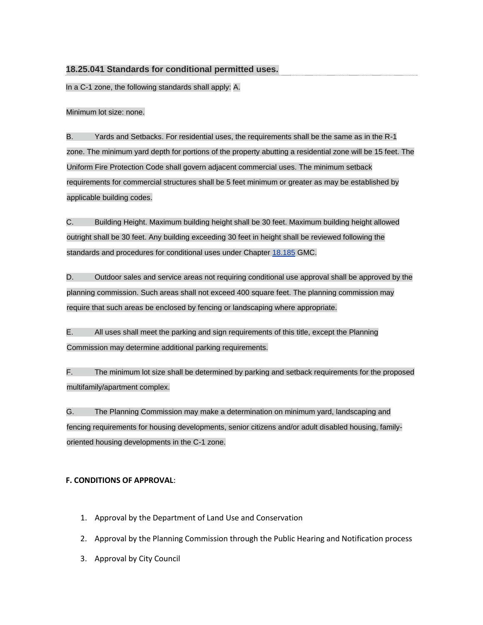## **18.25.041 Standards for conditional permitted uses.**

In a C-1 zone, the following standards shall apply: A.

Minimum lot size: none.

B. Yards and Setbacks. For residential uses, the requirements shall be the same as in the R-1 zone. The minimum yard depth for portions of the property abutting a residential zone will be 15 feet. The Uniform Fire Protection Code shall govern adjacent commercial uses. The minimum setback requirements for commercial structures shall be 5 feet minimum or greater as may be established by applicable building codes.

C. Building Height. Maximum building height shall be 30 feet. Maximum building height allowed outright shall be 30 feet. Any building exceeding 30 feet in height shall be reviewed following the standards and procedures for conditional uses under Chapter [18.185](http://www.codepublishing.com/OR/Garibaldi/html/Garibaldi18/Garibaldi18185.html#18.185) GMC.

D. Outdoor sales and service areas not requiring conditional use approval shall be approved by the planning commission. Such areas shall not exceed 400 square feet. The planning commission may require that such areas be enclosed by fencing or landscaping where appropriate.

E. All uses shall meet the parking and sign requirements of this title, except the Planning Commission may determine additional parking requirements.

F. The minimum lot size shall be determined by parking and setback requirements for the proposed multifamily/apartment complex.

G. The Planning Commission may make a determination on minimum yard, landscaping and fencing requirements for housing developments, senior citizens and/or adult disabled housing, familyoriented housing developments in the C-1 zone.

## **F. CONDITIONS OF APPROVAL**:

- 1. Approval by the Department of Land Use and Conservation
- 2. Approval by the Planning Commission through the Public Hearing and Notification process
- 3. Approval by City Council